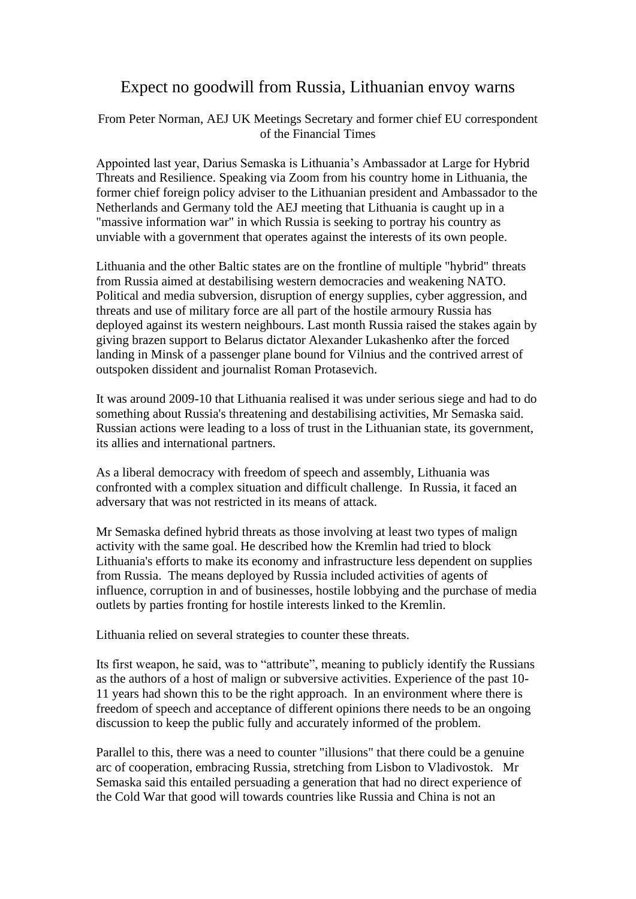## Expect no goodwill from Russia, Lithuanian envoy warns

## From Peter Norman, AEJ UK Meetings Secretary and former chief EU correspondent of the Financial Times

Appointed last year, Darius Semaska is Lithuania's Ambassador at Large for Hybrid Threats and Resilience. Speaking via Zoom from his country home in Lithuania, the former chief foreign policy adviser to the Lithuanian president and Ambassador to the Netherlands and Germany told the AEJ meeting that Lithuania is caught up in a "massive information war" in which Russia is seeking to portray his country as unviable with a government that operates against the interests of its own people.

Lithuania and the other Baltic states are on the frontline of multiple "hybrid" threats from Russia aimed at destabilising western democracies and weakening NATO. Political and media subversion, disruption of energy supplies, cyber aggression, and threats and use of military force are all part of the hostile armoury Russia has deployed against its western neighbours. Last month Russia raised the stakes again by giving brazen support to Belarus dictator Alexander Lukashenko after the forced landing in Minsk of a passenger plane bound for Vilnius and the contrived arrest of outspoken dissident and journalist Roman Protasevich.

It was around 2009-10 that Lithuania realised it was under serious siege and had to do something about Russia's threatening and destabilising activities, Mr Semaska said. Russian actions were leading to a loss of trust in the Lithuanian state, its government, its allies and international partners.

As a liberal democracy with freedom of speech and assembly, Lithuania was confronted with a complex situation and difficult challenge. In Russia, it faced an adversary that was not restricted in its means of attack.

Mr Semaska defined hybrid threats as those involving at least two types of malign activity with the same goal. He described how the Kremlin had tried to block Lithuania's efforts to make its economy and infrastructure less dependent on supplies from Russia. The means deployed by Russia included activities of agents of influence, corruption in and of businesses, hostile lobbying and the purchase of media outlets by parties fronting for hostile interests linked to the Kremlin.

Lithuania relied on several strategies to counter these threats.

Its first weapon, he said, was to "attribute", meaning to publicly identify the Russians as the authors of a host of malign or subversive activities. Experience of the past 10- 11 years had shown this to be the right approach. In an environment where there is freedom of speech and acceptance of different opinions there needs to be an ongoing discussion to keep the public fully and accurately informed of the problem.

Parallel to this, there was a need to counter "illusions" that there could be a genuine arc of cooperation, embracing Russia, stretching from Lisbon to Vladivostok. Mr Semaska said this entailed persuading a generation that had no direct experience of the Cold War that good will towards countries like Russia and China is not an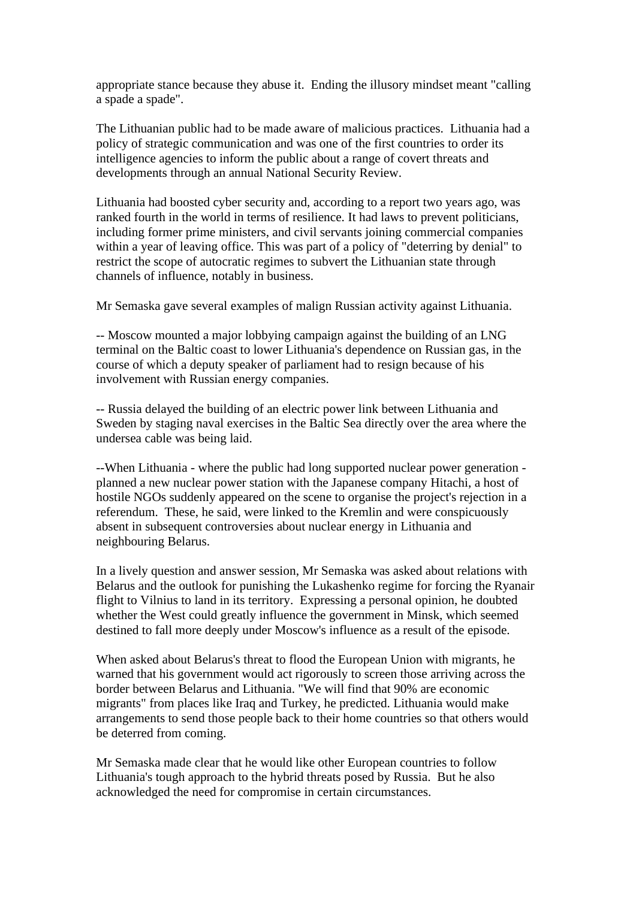appropriate stance because they abuse it. Ending the illusory mindset meant "calling a spade a spade".

The Lithuanian public had to be made aware of malicious practices. Lithuania had a policy of strategic communication and was one of the first countries to order its intelligence agencies to inform the public about a range of covert threats and developments through an annual National Security Review.

Lithuania had boosted cyber security and, according to a report two years ago, was ranked fourth in the world in terms of resilience. It had laws to prevent politicians, including former prime ministers, and civil servants joining commercial companies within a year of leaving office. This was part of a policy of "deterring by denial" to restrict the scope of autocratic regimes to subvert the Lithuanian state through channels of influence, notably in business.

Mr Semaska gave several examples of malign Russian activity against Lithuania.

-- Moscow mounted a major lobbying campaign against the building of an LNG terminal on the Baltic coast to lower Lithuania's dependence on Russian gas, in the course of which a deputy speaker of parliament had to resign because of his involvement with Russian energy companies.

-- Russia delayed the building of an electric power link between Lithuania and Sweden by staging naval exercises in the Baltic Sea directly over the area where the undersea cable was being laid.

--When Lithuania - where the public had long supported nuclear power generation planned a new nuclear power station with the Japanese company Hitachi, a host of hostile NGOs suddenly appeared on the scene to organise the project's rejection in a referendum. These, he said, were linked to the Kremlin and were conspicuously absent in subsequent controversies about nuclear energy in Lithuania and neighbouring Belarus.

In a lively question and answer session, Mr Semaska was asked about relations with Belarus and the outlook for punishing the Lukashenko regime for forcing the Ryanair flight to Vilnius to land in its territory. Expressing a personal opinion, he doubted whether the West could greatly influence the government in Minsk, which seemed destined to fall more deeply under Moscow's influence as a result of the episode.

When asked about Belarus's threat to flood the European Union with migrants, he warned that his government would act rigorously to screen those arriving across the border between Belarus and Lithuania. "We will find that 90% are economic migrants" from places like Iraq and Turkey, he predicted. Lithuania would make arrangements to send those people back to their home countries so that others would be deterred from coming.

Mr Semaska made clear that he would like other European countries to follow Lithuania's tough approach to the hybrid threats posed by Russia. But he also acknowledged the need for compromise in certain circumstances.